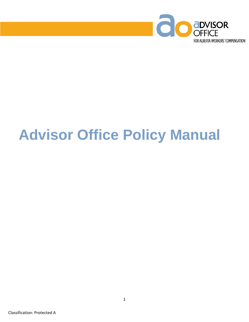

# **Advisor Office Policy Manual**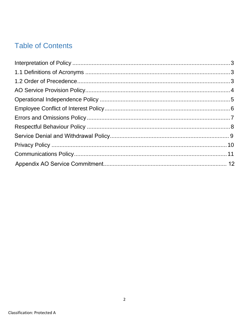# **Table of Contents**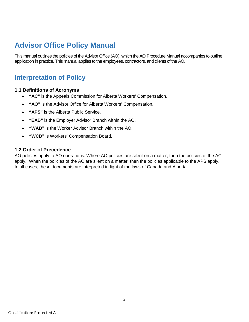### **Advisor Office Policy Manual**

This manual outlines the policies of the Advisor Office (AO), which the AO Procedure Manual accompanies to outline application in practice. This manual applies to the employees, contractors, and clients of the AO.

### <span id="page-2-0"></span>**Interpretation of Policy**

### <span id="page-2-1"></span>**1.1 Definitions of Acronyms**

- **"AC"** is the Appeals Commission for Alberta Workers' Compensation.
- **"AO"** is the Advisor Office for Alberta Workers' Compensation.
- **"APS"** is the Alberta Public Service.
- **"EAB"** is the Employer Advisor Branch within the AO.
- **"WAB"** is the Worker Advisor Branch within the AO.
- **"WCB"** is Workers' Compensation Board.

#### <span id="page-2-2"></span>**1.2 Order of Precedence**

AO policies apply to AO operations. Where AO policies are silent on a matter, then the policies of the AC apply. When the policies of the AC are silent on a matter, then the policies applicable to the APS apply. In all cases, these documents are interpreted in light of the laws of Canada and Alberta.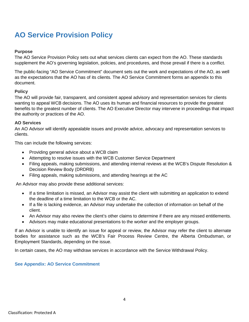# <span id="page-3-0"></span>**AO Service Provision Policy**

### **Purpose**

The AO Service Provision Policy sets out what services clients can expect from the AO. These standards supplement the AO's governing legislation, policies, and procedures, and those prevail if there is a conflict.

The public-facing "AO Service Commitment" document sets out the work and expectations of the AO, as well as the expectations that the AO has of its clients. The AO Service Commitment forms an appendix to this document.

### **Policy**

The AO will provide fair, transparent, and consistent appeal advisory and representation services for clients wanting to appeal WCB decisions. The AO uses its human and financial resources to provide the greatest benefits to the greatest number of clients. The AO Executive Director may intervene in proceedings that impact the authority or practices of the AO.

#### **AO Services**

An AO Advisor will identify appealable issues and provide advice, advocacy and representation services to clients.

This can include the following services:

- Providing general advice about a WCB claim
- Attempting to resolve issues with the WCB Customer Service Department
- Filing appeals, making submissions, and attending internal reviews at the WCB's Dispute Resolution & Decision Review Body (DRDRB)
- Filing appeals, making submissions, and attending hearings at the AC

An Advisor may also provide these additional services:

- If a time limitation is missed, an Advisor may assist the client with submitting an application to extend the deadline of a time limitation to the WCB or the AC.
- If a file is lacking evidence, an Advisor may undertake the collection of information on behalf of the client.
- An Advisor may also review the client's other claims to determine if there are any missed entitlements.
- Advisors may make educational presentations to the worker and the employer groups.

If an Advisor is unable to identify an issue for appeal or review, the Advisor may refer the client to alternate bodies for assistance such as the WCB's Fair Process Review Centre, the Alberta Ombudsman, or Employment Standards, depending on the issue.

In certain cases, the AO may withdraw services in accordance with the Service Withdrawal Policy.

#### **See Appendix: AO Service Commitment**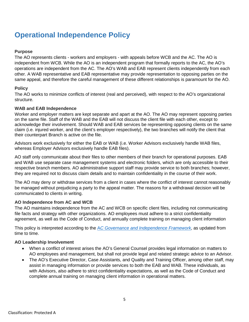# <span id="page-4-0"></span>**Operational Independence Policy**

### **Purpose**

The AO represents clients - workers and employers - with appeals before WCB and the AC. The AO is independent from WCB. While the AO is an independent program that formally reports to the AC, the AO's operations are independent from the AC. The AO's WAB and EAB represent clients independently from each other. A WAB representative and EAB representative may provide representation to opposing parties on the same appeal, and therefore the careful management of these different relationships is paramount for the AO.

#### **Policy**

The AO works to minimize conflicts of interest (real and perceived), with respect to the AO's organizational structure.

#### **WAB and EAB Independence**

Worker and employer matters are kept separate and apart at the AO. The AO may represent opposing parties on the same file. Staff of the WAB and the EAB will not discuss the client file with each other, except to acknowledge their involvement. Should WAB and EAB services be representing opposing clients on the same claim (i.e. injured worker, and the client's employer respectively), the two branches will notify the client that their counterpart Branch is active on the file.

Advisors work exclusively for either the EAB or WAB (i.e. Worker Advisors exclusively handle WAB files, whereas Employer Advisors exclusively handle EAB files).

AO staff only communicate about their files to other members of their branch for operational purposes. EAB and WAB use separate case management systems and electronic folders, which are only accessible to their respective branch members. AO administrative support staff may provide service to both branches; however, they are required not to discuss claim details and to maintain confidentiality in the course of their work.

The AO may deny or withdraw services from a client in cases where the conflict of interest cannot reasonably be managed without prejudicing a party to the appeal matter. The reasons for a withdrawal decision will be communicated to clients in writing.

#### **AO Independence from AC and WCB**

The AO maintains independence from the AC and WCB on specific client files, including not communicating file facts and strategy with other organizations. AO employees must adhere to a strict confidentiality agreement, as well as the Code of Conduct, and annually complete training on managing client information

This policy is interpreted according to the A*[C Governance and Independence Framework](https://www.appealscommission.ab.ca/Website%20Documents/Governance%20and%20Independence%20Framework.pdf)*, as updated from time to time.

#### **AO Leadership Involvement**

- When a conflict of interest arises the AO's General Counsel provides legal information on matters to AO employees and management, but shall not provide legal and related strategic advice to an Advisor.
- The AO's Executive Director, Case Assistants, and Quality and Training Officer, among other staff, may assist in managing information or provide services to both the EAB and WAB. These individuals, as with Advisors, also adhere to strict confidentiality expectations, as well as the Code of Conduct and complete annual training on managing client information in operational matters.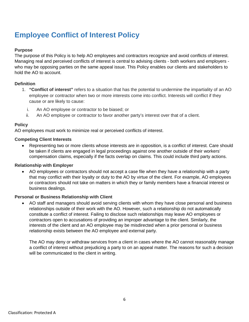# <span id="page-5-0"></span>**Employee Conflict of Interest Policy**

### **Purpose**

The purpose of this Policy is to help AO employees and contractors recognize and avoid conflicts of interest. Managing real and perceived conflicts of interest is central to advising clients - both workers and employers who may be opposing parties on the same appeal issue. This Policy enables our clients and stakeholders to hold the AO to account.

### **Definition**

- 1. **"Conflict of interest"** refers to a situation that has the potential to undermine the impartiality of an AO employee or contractor when two or more interests come into conflict. Interests will conflict if they cause or are likely to cause:
	- i. An AO employee or contractor to be biased; or
	- ii. An AO employee or contractor to favor another party's interest over that of a client.

### **Policy**

AO employees must work to minimize real or perceived conflicts of interest.

### **Competing Client Interests**

• Representing two or more clients whose interests are in opposition, is a conflict of interest. Care should be taken if clients are engaged in legal proceedings against one another outside of their workers' compensation claims, especially if the facts overlap on claims. This could include third party actions.

#### **Relationship with Employer**

• AO employees or contractors should not accept a case file when they have a relationship with a party that may conflict with their loyalty or duty to the AO by virtue of the client. For example, AO employees or contractors should not take on matters in which they or family members have a financial interest or business dealings.

### **Personal or Business Relationship with Client**

AO staff and managers should avoid serving clients with whom they have close personal and business relationships outside of their work with the AO. However, such a relationship do not automatically constitute a conflict of interest. Failing to disclose such relationships may leave AO employees or contractors open to accusations of providing an improper advantage to the client. Similarly, the interests of the client and an AO employee may be misdirected when a prior personal or business relationship exists between the AO employee and external party.

The AO may deny or withdraw services from a client in cases where the AO cannot reasonably manage a conflict of interest without prejudicing a party to on an appeal matter. The reasons for such a decision will be communicated to the client in writing.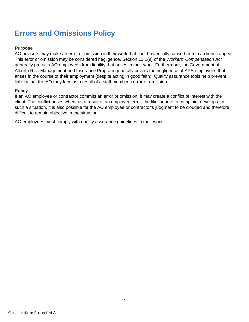### <span id="page-6-0"></span>**Errors and Omissions Policy**

### **Purpose**

AO advisors may make an error or omission in their work that could potentially cause harm to a client's appeal. This error or omission may be considered negligence. Section 13.1(9) of the *Workers' Compensation Act* generally protects AO employees from liability that arises in their work. Furthermore, the Government of Alberta Risk Management and Insurance Program generally covers the negligence of APS employees that arises in the course of their employment (despite acting in good faith). Quality assurance tools help prevent liability that the AO may face as a result of a staff member's error or omission.

#### **Policy**

If an AO employee or contractor commits an error or omission, it may create a conflict of interest with the client. The conflict arises when, as a result of an employee error, the likelihood of a complaint develops. In such a situation, it is also possible for the AO employee or contractor's judgment to be clouded and therefore difficult to remain objective in the situation.

AO employees must comply with quality assurance guidelines in their work.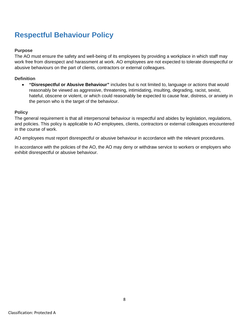# <span id="page-7-0"></span>**Respectful Behaviour Policy**

### **Purpose**

The AO must ensure the safety and well-being of its employees by providing a workplace in which staff may work free from disrespect and harassment at work. AO employees are not expected to tolerate disrespectful or abusive behaviours on the part of clients, contractors or external colleagues.

### **Definition**

• **"Disrespectful or Abusive Behaviour"** includes but is not limited to, language or actions that would reasonably be viewed as aggressive, threatening, intimidating, insulting, degrading, racist, sexist, hateful, obscene or violent, or which could reasonably be expected to cause fear, distress, or anxiety in the person who is the target of the behaviour.

### **Policy**

The general requirement is that all interpersonal behaviour is respectful and abides by legislation, regulations, and policies. This policy is applicable to AO employees, clients, contractors or external colleagues encountered in the course of work.

AO employees must report disrespectful or abusive behaviour in accordance with the relevant procedures.

In accordance with the policies of the AO, the AO may deny or withdraw service to workers or employers who exhibit disrespectful or abusive behaviour.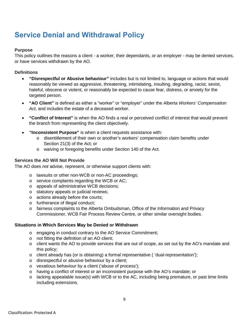# <span id="page-8-0"></span>**Service Denial and Withdrawal Policy**

### **Purpose**

This policy outlines the reasons a client - a worker, their dependants, or an employer - may be denied services, or have services withdrawn by the AO.

### **Definitions**

- **"Disrespectful or Abusive behaviour"** includes but is not limited to, language or actions that would reasonably be viewed as aggressive, threatening, intimidating, insulting, degrading, racist, sexist, hateful, obscene or violent, or reasonably be expected to cause fear, distress, or anxiety for the targeted person.
- **"AO Client"** is defined as either a "worker" or "employer" under the Alberta *Workers' Compensation Act*, and includes the estate of a deceased worker.
- **"Conflict of Interest"** is when the AO finds a real or perceived conflict of interest that would prevent the branch from representing the client objectively.
- **"Inconsistent Purpose"** is when a client requests assistance with:
	- o disentitlement of their own or another's workers' compensation claim benefits under Section 21(3) of the Act; or
	- o waiving or foregoing benefits under Section 140 of the Act.

### **Services the AO Will Not Provide**

The AO does *not* advise, represent, or otherwise support clients with:

- o lawsuits or other non-WCB or non-AC proceedings;
- o service complaints regarding the WCB or AC;
- o appeals of administrative WCB decisions;
- o statutory appeals or judicial reviews;
- o actions already before the courts;
- o furtherance of illegal conduct;
- o fairness complaints to the Alberta Ombudsman, Office of the Information and Privacy Commissioner, WCB Fair Process Review Centre, or other similar oversight bodies.

#### **Situations in Which Services May be Denied or Withdrawn**

- o engaging in conduct contrary to the AO Service Commitment;
- o not fitting the definition of an AO client;
- $\circ$  client wants the AO to provide services that are out of scope, as set out by the AO's mandate and this policy;
- o client already has (or is obtaining) a formal representative ( 'dual-representation');
- o disrespectful or abusive behaviour by a client;
- o vexatious behaviour by a client ('abuse of process');
- o having a conflict of interest or an inconsistent purpose with the AO's mandate; or
- o lacking appealable issue(s) with WCB or to the AC, including being premature, or past time limits including extensions.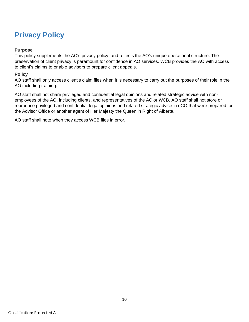# <span id="page-9-0"></span>**Privacy Policy**

### **Purpose**

This policy supplements the AC's privacy policy, and reflects the AO's unique operational structure. The preservation of client privacy is paramount for confidence in AO services. WCB provides the AO with access to client's claims to enable advisors to prepare client appeals.

### **Policy**

AO staff shall only access client's claim files when it is necessary to carry out the purposes of their role in the AO including training.

AO staff shall not share privileged and confidential legal opinions and related strategic advice with nonemployees of the AO, including clients, and representatives of the AC or WCB. AO staff shall not store or reproduce privileged and confidential legal opinions and related strategic advice in eCO that were prepared for the Advisor Office or another agent of Her Majesty the Queen in Right of Alberta.

AO staff shall note when they access WCB files in error**.**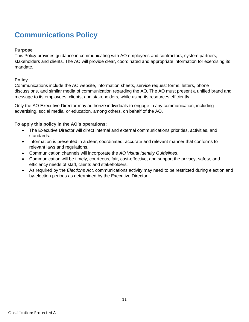# <span id="page-10-0"></span>**Communications Policy**

### **Purpose**

This Policy provides guidance in communicating with AO employees and contractors, system partners, stakeholders and clients. The AO will provide clear, coordinated and appropriate information for exercising its mandate.

### **Policy**

Communications include the AO website, information sheets, service request forms, letters, phone discussions, and similar media of communication regarding the AO. The AO must present a unified brand and message to its employees, clients, and stakeholders, while using its resources efficiently.

Only the AO Executive Director may authorize individuals to engage in any communication, including advertising, social media, or education, among others, on behalf of the AO.

### **To apply this policy in the AO's operations:**

- The Executive Director will direct internal and external communications priorities, activities, and standards.
- Information is presented in a clear, coordinated, accurate and relevant manner that conforms to relevant laws and regulations.
- Communication channels will incorporate the *AO Visual Identity Guidelines*.
- Communication will be timely, courteous, fair, cost-effective, and support the privacy, safety, and efficiency needs of staff, clients and stakeholders.
- As required by the *Elections Act*, communications activity may need to be restricted during election and by-election periods as determined by the Executive Director.